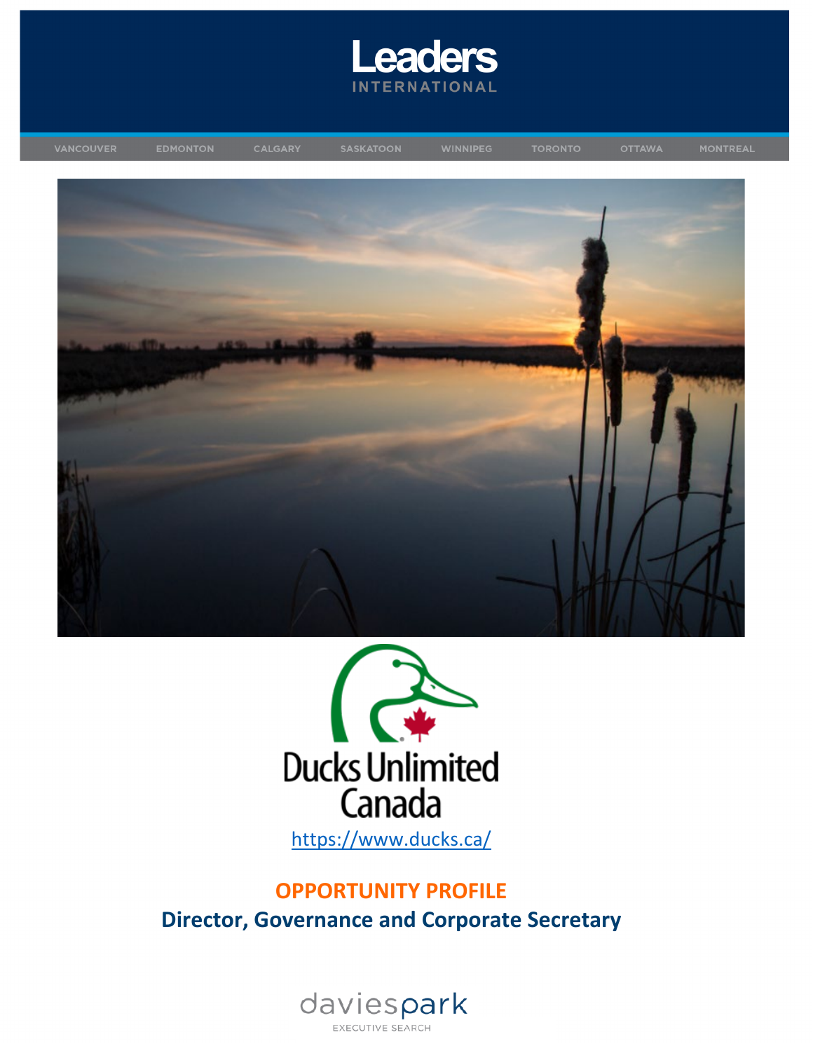

MONTREAL





<https://www.ducks.ca/>

### **OPPORTUNITY PROFILE Director, Governance and Corporate Secretary**

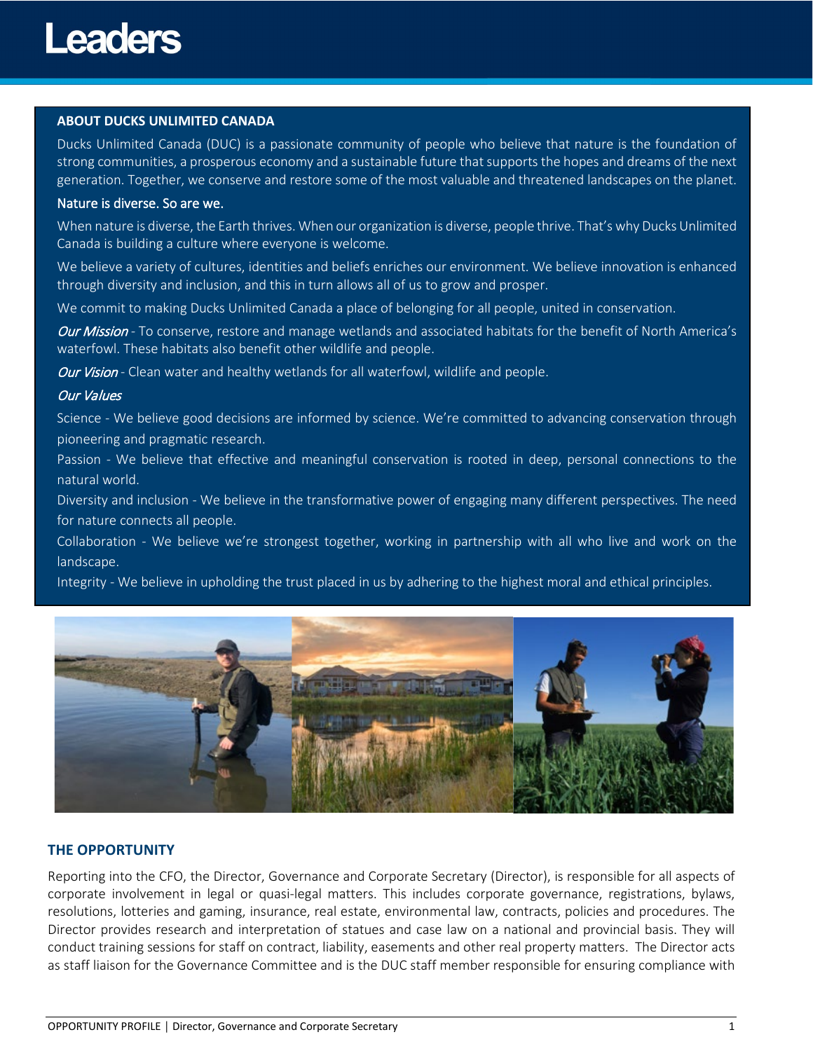### **ABOUT DUCKS UNLIMITED CANADA**

Ducks Unlimited Canada (DUC) is a passionate community of people who believe that nature is the foundation of strong communities, a prosperous economy and a sustainable future that supports the hopes and dreams of the next generation. Together, we conserve and restore some of the most valuable and threatened landscapes on the planet.

### Nature is diverse. So are we.

When nature is diverse, the Earth thrives. When our organization is diverse, people thrive. That's why Ducks Unlimited Canada is building a culture where everyone is welcome.

We believe a variety of cultures, identities and beliefs enriches our environment. We believe innovation is enhanced through diversity and inclusion, and this in turn allows all of us to grow and prosper.

We commit to making Ducks Unlimited Canada a place of belonging for all people, united in conservation.

Our Mission *-* To conserve, restore and manage wetlands and associated habitats for the benefit of North America's waterfowl. These habitats also benefit other wildlife and people.

Our Vision - Clean water and healthy wetlands for all waterfowl, wildlife and people.

### Our Values

Science - We believe good decisions are informed by science. We're committed to advancing conservation through pioneering and pragmatic research.

Passion - We believe that effective and meaningful conservation is rooted in deep, personal connections to the natural world.

Diversity and inclusion - We believe in the transformative power of engaging many different perspectives. The need for nature connects all people.

Collaboration - We believe we're strongest together, working in partnership with all who live and work on the landscape.

Integrity - We believe in upholding the trust placed in us by adhering to the highest moral and ethical principles.



### **THE OPPORTUNITY**

Reporting into the CFO, the Director, Governance and Corporate Secretary (Director), is responsible for all aspects of corporate involvement in legal or quasi-legal matters. This includes corporate governance, registrations, bylaws, resolutions, lotteries and gaming, insurance, real estate, environmental law, contracts, policies and procedures. The Director provides research and interpretation of statues and case law on a national and provincial basis. They will conduct training sessions for staff on contract, liability, easements and other real property matters. The Director acts as staff liaison for the Governance Committee and is the DUC staff member responsible for ensuring compliance with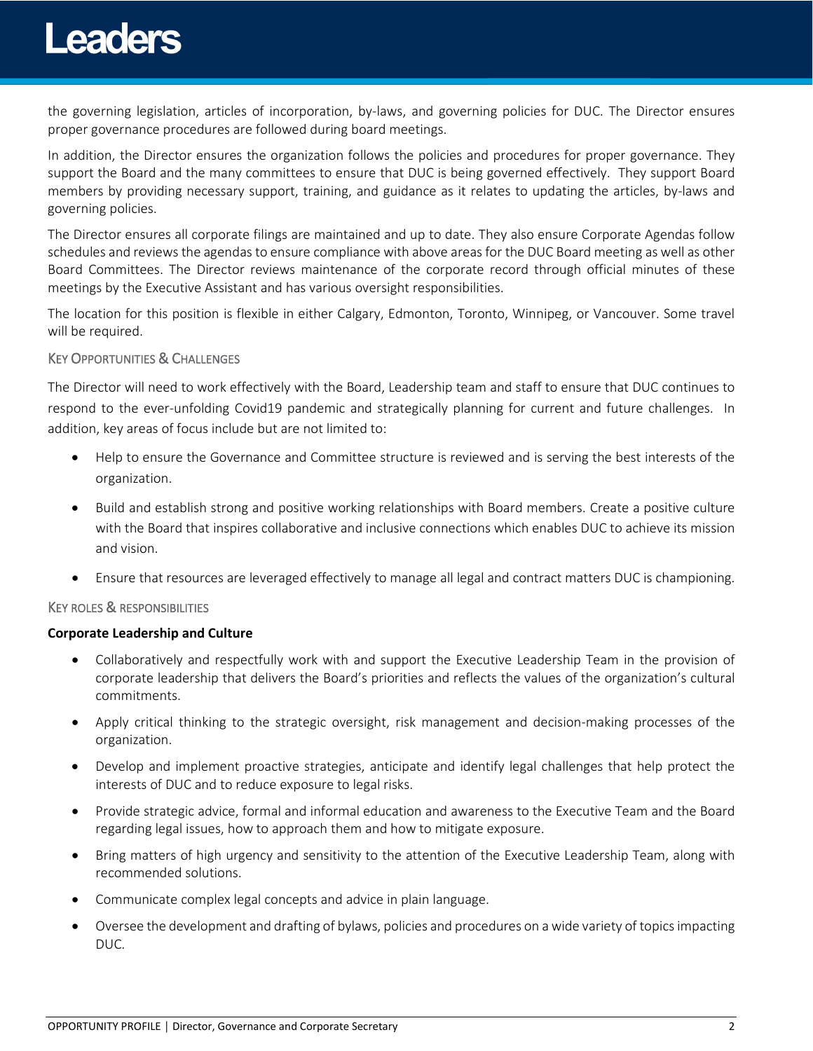### **Leaders**

the governing legislation, articles of incorporation, by-laws, and governing policies for DUC. The Director ensures proper governance procedures are followed during board meetings.

In addition, the Director ensures the organization follows the policies and procedures for proper governance. They support the Board and the many committees to ensure that DUC is being governed effectively. They support Board members by providing necessary support, training, and guidance as it relates to updating the articles, by-laws and governing policies.

The Director ensures all corporate filings are maintained and up to date. They also ensure Corporate Agendas follow schedules and reviews the agendas to ensure compliance with above areas for the DUC Board meeting as well as other Board Committees. The Director reviews maintenance of the corporate record through official minutes of these meetings by the Executive Assistant and has various oversight responsibilities.

The location for this position is flexible in either Calgary, Edmonton, Toronto, Winnipeg, or Vancouver. Some travel will be required.

### KEY OPPORTUNITIES & CHALLENGES

The Director will need to work effectively with the Board, Leadership team and staff to ensure that DUC continues to respond to the ever-unfolding Covid19 pandemic and strategically planning for current and future challenges. In addition, key areas of focus include but are not limited to:

- Help to ensure the Governance and Committee structure is reviewed and is serving the best interests of the organization.
- Build and establish strong and positive working relationships with Board members. Create a positive culture with the Board that inspires collaborative and inclusive connections which enables DUC to achieve its mission and vision.
- Ensure that resources are leveraged effectively to manage all legal and contract matters DUC is championing.

### KEY ROLES & RESPONSIBILITIES

### **Corporate Leadership and Culture**

- Collaboratively and respectfully work with and support the Executive Leadership Team in the provision of corporate leadership that delivers the Board's priorities and reflects the values of the organization's cultural commitments.
- Apply critical thinking to the strategic oversight, risk management and decision-making processes of the organization.
- Develop and implement proactive strategies, anticipate and identify legal challenges that help protect the interests of DUC and to reduce exposure to legal risks.
- Provide strategic advice, formal and informal education and awareness to the Executive Team and the Board regarding legal issues, how to approach them and how to mitigate exposure.
- Bring matters of high urgency and sensitivity to the attention of the Executive Leadership Team, along with recommended solutions.
- Communicate complex legal concepts and advice in plain language.
- Oversee the development and drafting of bylaws, policies and procedures on a wide variety of topics impacting DUC.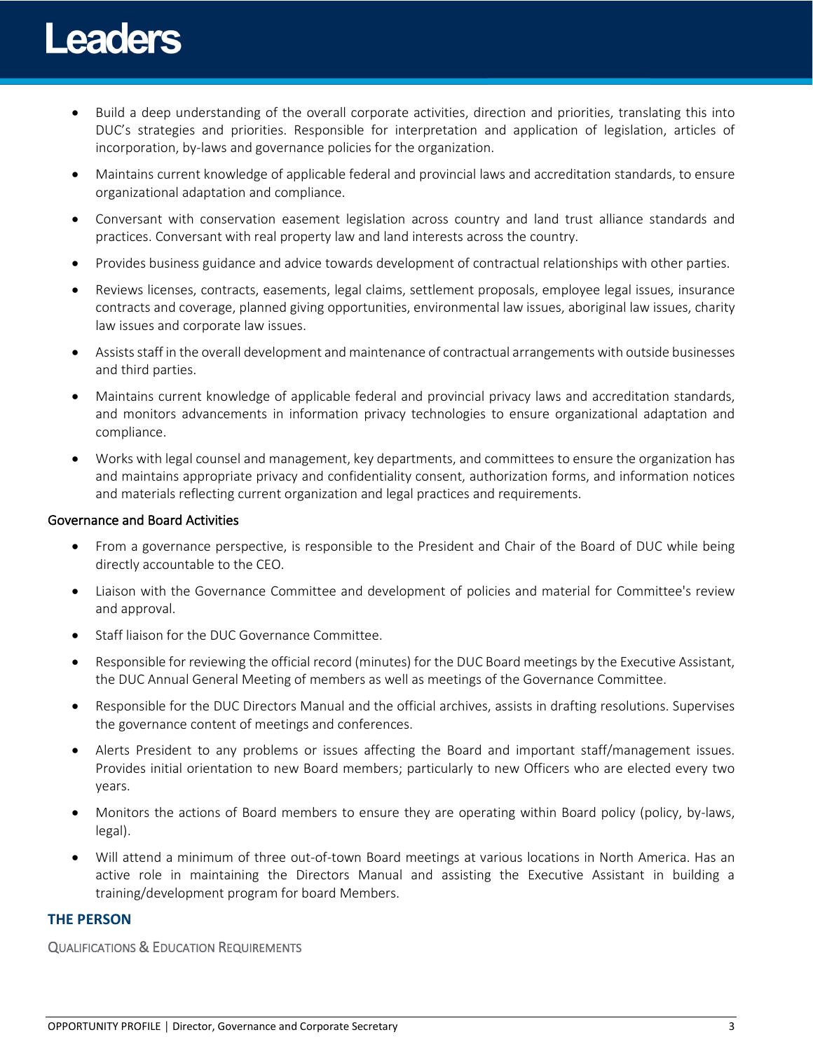## **Leaders**

- Build a deep understanding of the overall corporate activities, direction and priorities, translating this into DUC's strategies and priorities. Responsible for interpretation and application of legislation, articles of incorporation, by-laws and governance policies for the organization.
- Maintains current knowledge of applicable federal and provincial laws and accreditation standards, to ensure organizational adaptation and compliance.
- Conversant with conservation easement legislation across country and land trust alliance standards and practices. Conversant with real property law and land interests across the country.
- Provides business guidance and advice towards development of contractual relationships with other parties.
- Reviews licenses, contracts, easements, legal claims, settlement proposals, employee legal issues, insurance contracts and coverage, planned giving opportunities, environmental law issues, aboriginal law issues, charity law issues and corporate law issues.
- Assists staff in the overall development and maintenance of contractual arrangements with outside businesses and third parties.
- Maintains current knowledge of applicable federal and provincial privacy laws and accreditation standards, and monitors advancements in information privacy technologies to ensure organizational adaptation and compliance.
- Works with legal counsel and management, key departments, and committees to ensure the organization has and maintains appropriate privacy and confidentiality consent, authorization forms, and information notices and materials reflecting current organization and legal practices and requirements.

### Governance and Board Activities

- From a governance perspective, is responsible to the President and Chair of the Board of DUC while being directly accountable to the CEO.
- Liaison with the Governance Committee and development of policies and material for Committee's review and approval.
- Staff liaison for the DUC Governance Committee.
- Responsible for reviewing the official record (minutes) for the DUC Board meetings by the Executive Assistant, the DUC Annual General Meeting of members as well as meetings of the Governance Committee.
- Responsible for the DUC Directors Manual and the official archives, assists in drafting resolutions. Supervises the governance content of meetings and conferences.
- Alerts President to any problems or issues affecting the Board and important staff/management issues. Provides initial orientation to new Board members; particularly to new Officers who are elected every two years.
- Monitors the actions of Board members to ensure they are operating within Board policy (policy, by-laws, legal).
- Will attend a minimum of three out-of-town Board meetings at various locations in North America. Has an active role in maintaining the Directors Manual and assisting the Executive Assistant in building a training/development program for board Members.

### **THE PERSON**

QUALIFICATIONS & EDUCATION REQUIREMENTS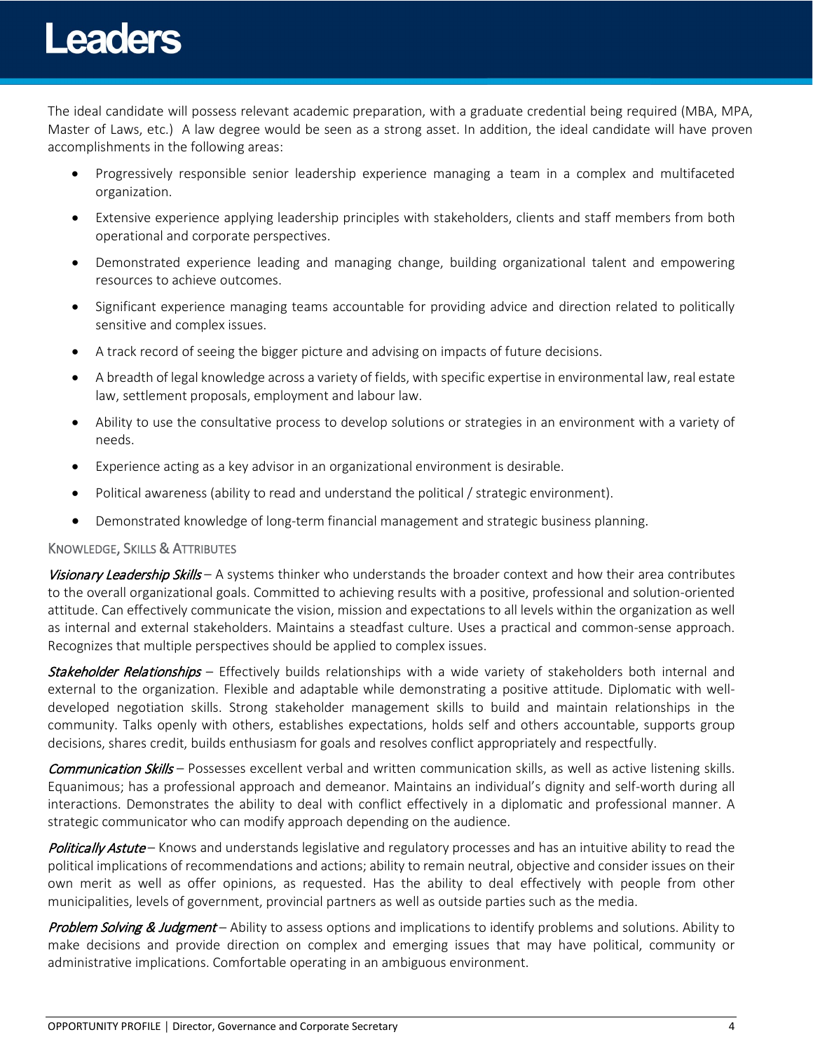

The ideal candidate will possess relevant academic preparation, with a graduate credential being required (MBA, MPA, Master of Laws, etc.) A law degree would be seen as a strong asset. In addition, the ideal candidate will have proven accomplishments in the following areas:

- Progressively responsible senior leadership experience managing a team in a complex and multifaceted organization.
- Extensive experience applying leadership principles with stakeholders, clients and staff members from both operational and corporate perspectives.
- Demonstrated experience leading and managing change, building organizational talent and empowering resources to achieve outcomes.
- Significant experience managing teams accountable for providing advice and direction related to politically sensitive and complex issues.
- A track record of seeing the bigger picture and advising on impacts of future decisions.
- A breadth of legal knowledge across a variety of fields, with specific expertise in environmental law, real estate law, settlement proposals, employment and labour law.
- Ability to use the consultative process to develop solutions or strategies in an environment with a variety of needs.
- Experience acting as a key advisor in an organizational environment is desirable.
- Political awareness (ability to read and understand the political / strategic environment).
- Demonstrated knowledge of long-term financial management and strategic business planning.

### KNOWLEDGE, SKILLS & ATTRIBUTES

Visionary Leadership Skills – A systems thinker who understands the broader context and how their area contributes to the overall organizational goals. Committed to achieving results with a positive, professional and solution-oriented attitude. Can effectively communicate the vision, mission and expectations to all levels within the organization as well as internal and external stakeholders. Maintains a steadfast culture. Uses a practical and common-sense approach. Recognizes that multiple perspectives should be applied to complex issues.

Stakeholder Relationships – Effectively builds relationships with a wide variety of stakeholders both internal and external to the organization. Flexible and adaptable while demonstrating a positive attitude. Diplomatic with welldeveloped negotiation skills. Strong stakeholder management skills to build and maintain relationships in the community. Talks openly with others, establishes expectations, holds self and others accountable, supports group decisions, shares credit, builds enthusiasm for goals and resolves conflict appropriately and respectfully.

Communication Skills – Possesses excellent verbal and written communication skills, as well as active listening skills. Equanimous; has a professional approach and demeanor. Maintains an individual's dignity and self-worth during all interactions. Demonstrates the ability to deal with conflict effectively in a diplomatic and professional manner. A strategic communicator who can modify approach depending on the audience.

Politically Astute – Knows and understands legislative and regulatory processes and has an intuitive ability to read the political implications of recommendations and actions; ability to remain neutral, objective and consider issues on their own merit as well as offer opinions, as requested. Has the ability to deal effectively with people from other municipalities, levels of government, provincial partners as well as outside parties such as the media.

Problem Solving & Judgment – Ability to assess options and implications to identify problems and solutions. Ability to make decisions and provide direction on complex and emerging issues that may have political, community or administrative implications. Comfortable operating in an ambiguous environment.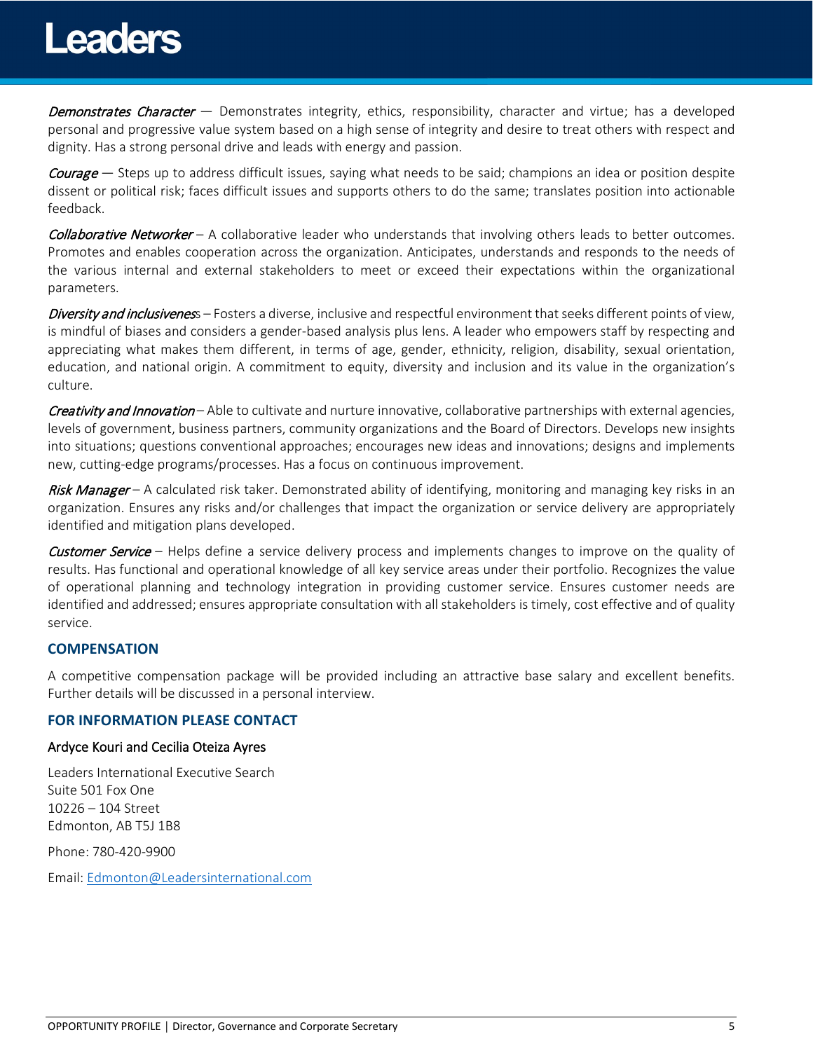

Demonstrates Character — Demonstrates integrity, ethics, responsibility, character and virtue; has a developed personal and progressive value system based on a high sense of integrity and desire to treat others with respect and dignity. Has a strong personal drive and leads with energy and passion.

Courage — Steps up to address difficult issues, saying what needs to be said; champions an idea or position despite dissent or political risk; faces difficult issues and supports others to do the same; translates position into actionable feedback.

Collaborative Networker – A collaborative leader who understands that involving others leads to better outcomes. Promotes and enables cooperation across the organization. Anticipates, understands and responds to the needs of the various internal and external stakeholders to meet or exceed their expectations within the organizational parameters.

Diversity and inclusiveness – Fosters a diverse, inclusive and respectful environment that seeks different points of view, is mindful of biases and considers a gender-based analysis plus lens. A leader who empowers staff by respecting and appreciating what makes them different, in terms of age, gender, ethnicity, religion, disability, sexual orientation, education, and national origin. A commitment to equity, diversity and inclusion and its value in the organization's culture.

Creativity and Innovation – Able to cultivate and nurture innovative, collaborative partnerships with external agencies, levels of government, business partners, community organizations and the Board of Directors. Develops new insights into situations; questions conventional approaches; encourages new ideas and innovations; designs and implements new, cutting-edge programs/processes. Has a focus on continuous improvement.

Risk Manager – A calculated risk taker. Demonstrated ability of identifying, monitoring and managing key risks in an organization. Ensures any risks and/or challenges that impact the organization or service delivery are appropriately identified and mitigation plans developed.

**Customer Service** – Helps define a service delivery process and implements changes to improve on the quality of results. Has functional and operational knowledge of all key service areas under their portfolio. Recognizes the value of operational planning and technology integration in providing customer service. Ensures customer needs are identified and addressed; ensures appropriate consultation with all stakeholders is timely, cost effective and of quality service.

### **COMPENSATION**

A competitive compensation package will be provided including an attractive base salary and excellent benefits. Further details will be discussed in a personal interview.

### **FOR INFORMATION PLEASE CONTACT**

#### Ardyce Kouri and Cecilia Oteiza Ayres

Leaders International Executive Search Suite 501 Fox One 10226 – 104 Street Edmonton, AB T5J 1B8

Phone: 780-420-9900

Email: [Edmonton@Leadersinternational.com](mailto:Edmonton@Leadersinternational.com)